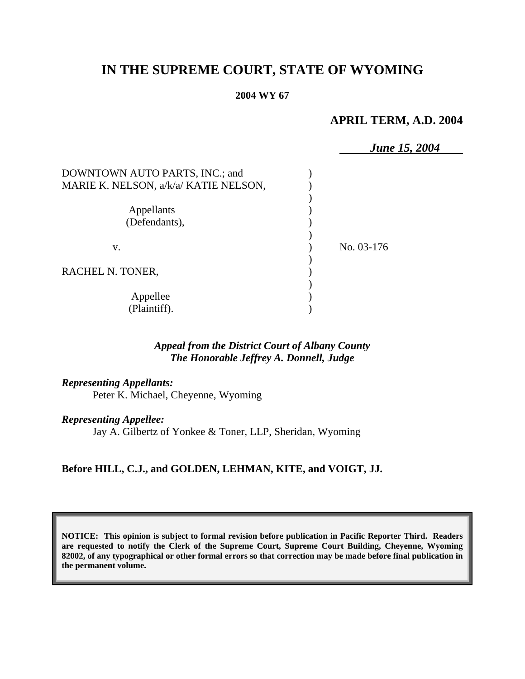# **IN THE SUPREME COURT, STATE OF WYOMING**

#### **2004 WY 67**

# **APRIL TERM, A.D. 2004**

|                                       | <b>June 15, 2004</b> |
|---------------------------------------|----------------------|
| DOWNTOWN AUTO PARTS, INC.; and        |                      |
| MARIE K. NELSON, a/k/a/ KATIE NELSON, |                      |
|                                       |                      |
| Appellants                            |                      |
| (Defendants),                         |                      |
| V.                                    | No. 03-176           |
| RACHEL N. TONER,                      |                      |
|                                       |                      |
| Appellee                              |                      |
| (Plaintiff).                          |                      |

# *Appeal from the District Court of Albany County The Honorable Jeffrey A. Donnell, Judge*

#### *Representing Appellants:*

Peter K. Michael, Cheyenne, Wyoming

## *Representing Appellee:*

Jay A. Gilbertz of Yonkee & Toner, LLP, Sheridan, Wyoming

## **Before HILL, C.J., and GOLDEN, LEHMAN, KITE, and VOIGT, JJ.**

**NOTICE: This opinion is subject to formal revision before publication in Pacific Reporter Third. Readers are requested to notify the Clerk of the Supreme Court, Supreme Court Building, Cheyenne, Wyoming 82002, of any typographical or other formal errors so that correction may be made before final publication in the permanent volume.**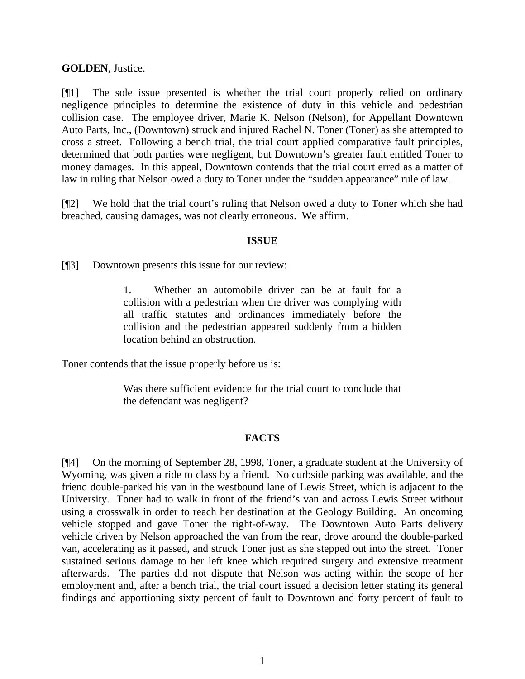## **GOLDEN**, Justice.

[¶1] The sole issue presented is whether the trial court properly relied on ordinary negligence principles to determine the existence of duty in this vehicle and pedestrian collision case. The employee driver, Marie K. Nelson (Nelson), for Appellant Downtown Auto Parts, Inc., (Downtown) struck and injured Rachel N. Toner (Toner) as she attempted to cross a street. Following a bench trial, the trial court applied comparative fault principles, determined that both parties were negligent, but Downtown's greater fault entitled Toner to money damages. In this appeal, Downtown contends that the trial court erred as a matter of law in ruling that Nelson owed a duty to Toner under the "sudden appearance" rule of law.

[¶2] We hold that the trial court's ruling that Nelson owed a duty to Toner which she had breached, causing damages, was not clearly erroneous. We affirm.

## **ISSUE**

[¶3] Downtown presents this issue for our review:

1. Whether an automobile driver can be at fault for a collision with a pedestrian when the driver was complying with all traffic statutes and ordinances immediately before the collision and the pedestrian appeared suddenly from a hidden location behind an obstruction.

Toner contends that the issue properly before us is:

Was there sufficient evidence for the trial court to conclude that the defendant was negligent?

# **FACTS**

[¶4] On the morning of September 28, 1998, Toner, a graduate student at the University of Wyoming, was given a ride to class by a friend. No curbside parking was available, and the friend double-parked his van in the westbound lane of Lewis Street, which is adjacent to the University. Toner had to walk in front of the friend's van and across Lewis Street without using a crosswalk in order to reach her destination at the Geology Building. An oncoming vehicle stopped and gave Toner the right-of-way. The Downtown Auto Parts delivery vehicle driven by Nelson approached the van from the rear, drove around the double-parked van, accelerating as it passed, and struck Toner just as she stepped out into the street. Toner sustained serious damage to her left knee which required surgery and extensive treatment afterwards. The parties did not dispute that Nelson was acting within the scope of her employment and, after a bench trial, the trial court issued a decision letter stating its general findings and apportioning sixty percent of fault to Downtown and forty percent of fault to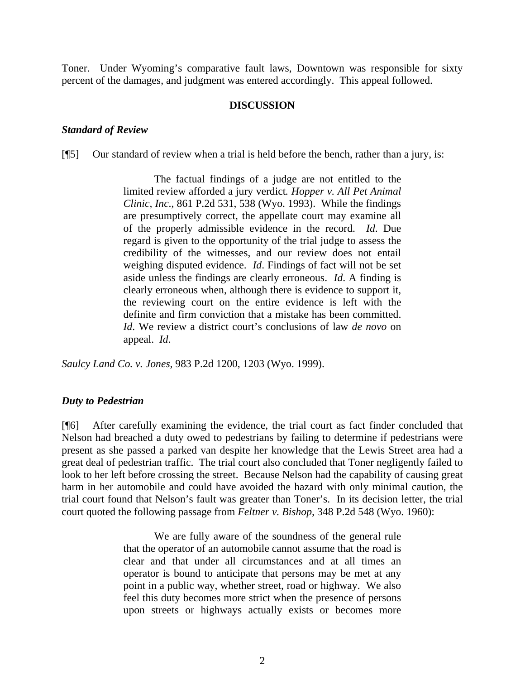Toner. Under Wyoming's comparative fault laws, Downtown was responsible for sixty percent of the damages, and judgment was entered accordingly. This appeal followed.

#### **DISCUSSION**

#### *Standard of Review*

[¶5] Our standard of review when a trial is held before the bench, rather than a jury, is:

The factual findings of a judge are not entitled to the limited review afforded a jury verdict*. Hopper v. All Pet Animal Clinic, Inc*., 861 P.2d 531, 538 (Wyo. 1993). While the findings are presumptively correct, the appellate court may examine all of the properly admissible evidence in the record. *Id*. Due regard is given to the opportunity of the trial judge to assess the credibility of the witnesses, and our review does not entail weighing disputed evidence. *Id*. Findings of fact will not be set aside unless the findings are clearly erroneous. *Id*. A finding is clearly erroneous when, although there is evidence to support it, the reviewing court on the entire evidence is left with the definite and firm conviction that a mistake has been committed. *Id*. We review a district court's conclusions of law *de novo* on appeal. *Id*.

*Saulcy Land Co. v. Jones,* 983 P.2d 1200, 1203 (Wyo. 1999).

#### *Duty to Pedestrian*

[¶6] After carefully examining the evidence, the trial court as fact finder concluded that Nelson had breached a duty owed to pedestrians by failing to determine if pedestrians were present as she passed a parked van despite her knowledge that the Lewis Street area had a great deal of pedestrian traffic. The trial court also concluded that Toner negligently failed to look to her left before crossing the street. Because Nelson had the capability of causing great harm in her automobile and could have avoided the hazard with only minimal caution, the trial court found that Nelson's fault was greater than Toner's. In its decision letter, the trial court quoted the following passage from *Feltner v. Bishop,* 348 P.2d 548 (Wyo. 1960):

> We are fully aware of the soundness of the general rule that the operator of an automobile cannot assume that the road is clear and that under all circumstances and at all times an operator is bound to anticipate that persons may be met at any point in a public way, whether street, road or highway. We also feel this duty becomes more strict when the presence of persons upon streets or highways actually exists or becomes more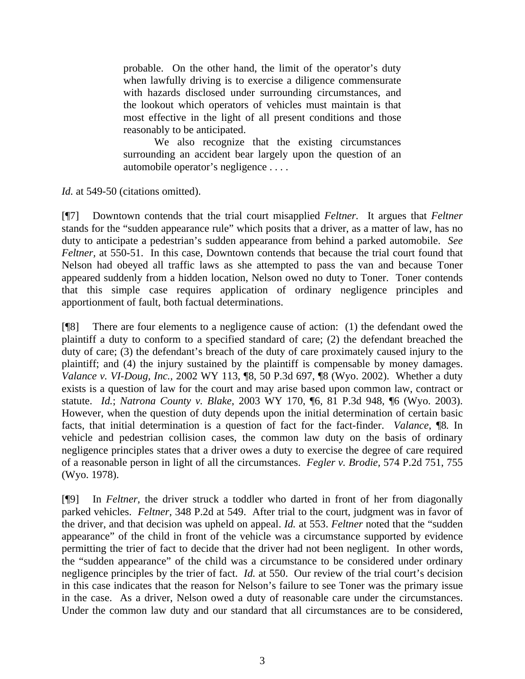probable. On the other hand, the limit of the operator's duty when lawfully driving is to exercise a diligence commensurate with hazards disclosed under surrounding circumstances, and the lookout which operators of vehicles must maintain is that most effective in the light of all present conditions and those reasonably to be anticipated.

We also recognize that the existing circumstances surrounding an accident bear largely upon the question of an automobile operator's negligence . . . .

*Id.* at 549-50 (citations omitted).

[¶7] Downtown contends that the trial court misapplied *Feltner.* It argues that *Feltner* stands for the "sudden appearance rule" which posits that a driver, as a matter of law, has no duty to anticipate a pedestrian's sudden appearance from behind a parked automobile. *See Feltner,* at 550-51. In this case, Downtown contends that because the trial court found that Nelson had obeyed all traffic laws as she attempted to pass the van and because Toner appeared suddenly from a hidden location, Nelson owed no duty to Toner. Toner contends that this simple case requires application of ordinary negligence principles and apportionment of fault, both factual determinations.

[¶8] There are four elements to a negligence cause of action: (1) the defendant owed the plaintiff a duty to conform to a specified standard of care; (2) the defendant breached the duty of care; (3) the defendant's breach of the duty of care proximately caused injury to the plaintiff; and (4) the injury sustained by the plaintiff is compensable by money damages. *Valance v. VI-Doug, Inc.,* 2002 WY 113, ¶8, 50 P.3d 697, ¶8 (Wyo. 2002). Whether a duty exists is a question of law for the court and may arise based upon common law, contract or statute. *Id.*; *Natrona County v. Blake*, 2003 WY 170, ¶6, 81 P.3d 948, ¶6 (Wyo. 2003). However, when the question of duty depends upon the initial determination of certain basic facts, that initial determination is a question of fact for the fact-finder. *Valance*, ¶8*.* In vehicle and pedestrian collision cases, the common law duty on the basis of ordinary negligence principles states that a driver owes a duty to exercise the degree of care required of a reasonable person in light of all the circumstances. *Fegler v. Brodie,* 574 P.2d 751, 755 (Wyo. 1978).

[¶9] In *Feltner,* the driver struck a toddler who darted in front of her from diagonally parked vehicles. *Feltner,* 348 P.2d at 549. After trial to the court, judgment was in favor of the driver, and that decision was upheld on appeal. *Id.* at 553. *Feltner* noted that the "sudden appearance" of the child in front of the vehicle was a circumstance supported by evidence permitting the trier of fact to decide that the driver had not been negligent. In other words, the "sudden appearance" of the child was a circumstance to be considered under ordinary negligence principles by the trier of fact. *Id.* at 550. Our review of the trial court's decision in this case indicates that the reason for Nelson's failure to see Toner was the primary issue in the case. As a driver, Nelson owed a duty of reasonable care under the circumstances. Under the common law duty and our standard that all circumstances are to be considered,